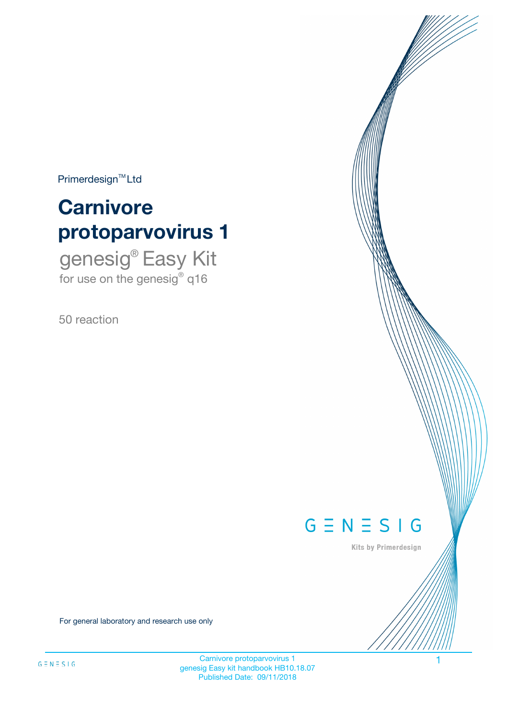$Primerdesign^{\text{TM}}Ltd$ 

# **Carnivore protoparvovirus 1**

genesig® Easy Kit for use on the genesig® q16

50 reaction



Kits by Primerdesign

For general laboratory and research use only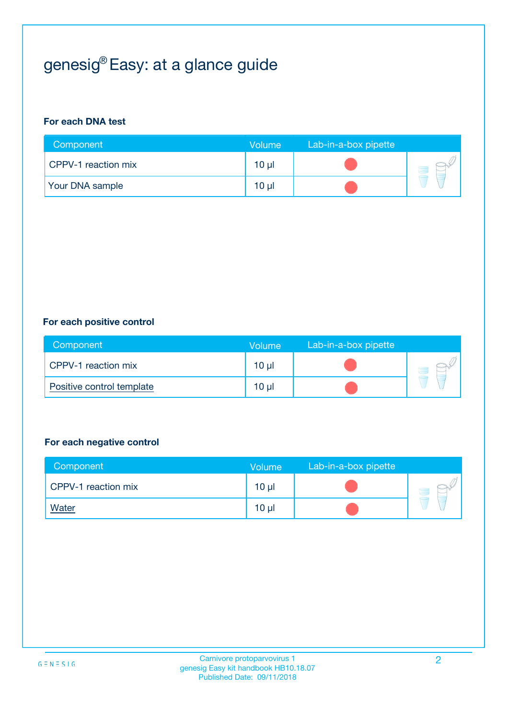# genesig® Easy: at a glance guide

#### **For each DNA test**

| Component           | <b>Volume</b>   | Lab-in-a-box pipette |  |
|---------------------|-----------------|----------------------|--|
| CPPV-1 reaction mix | 10 <sub>µ</sub> |                      |  |
| Your DNA sample     | 10 µl           |                      |  |

#### **For each positive control**

| Component                 | Volume   | Lab-in-a-box pipette |  |
|---------------------------|----------|----------------------|--|
| CPPV-1 reaction mix       | $10 \mu$ |                      |  |
| Positive control template | $10 \mu$ |                      |  |

#### **For each negative control**

| Component           | <b>Volume</b>   | Lab-in-a-box pipette |  |
|---------------------|-----------------|----------------------|--|
| CPPV-1 reaction mix | 10 <sub>µ</sub> |                      |  |
| <b>Water</b>        | 10 <sub>µ</sub> |                      |  |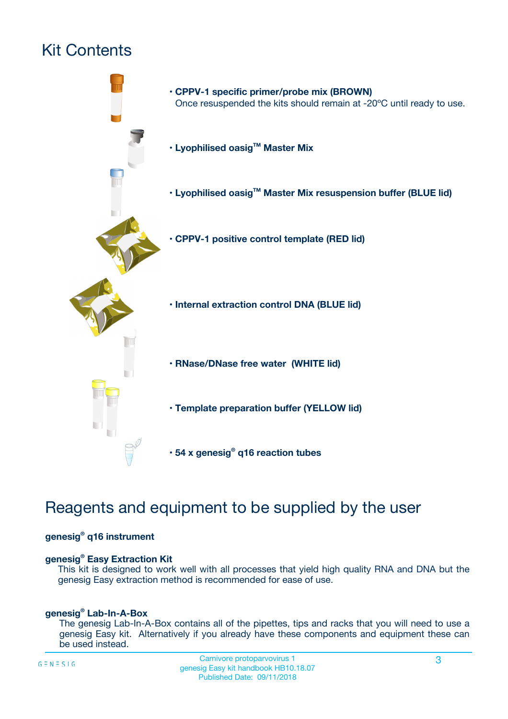# Kit Contents



## Reagents and equipment to be supplied by the user

#### **genesig® q16 instrument**

#### **genesig® Easy Extraction Kit**

This kit is designed to work well with all processes that yield high quality RNA and DNA but the genesig Easy extraction method is recommended for ease of use.

#### **genesig® Lab-In-A-Box**

The genesig Lab-In-A-Box contains all of the pipettes, tips and racks that you will need to use a genesig Easy kit. Alternatively if you already have these components and equipment these can be used instead.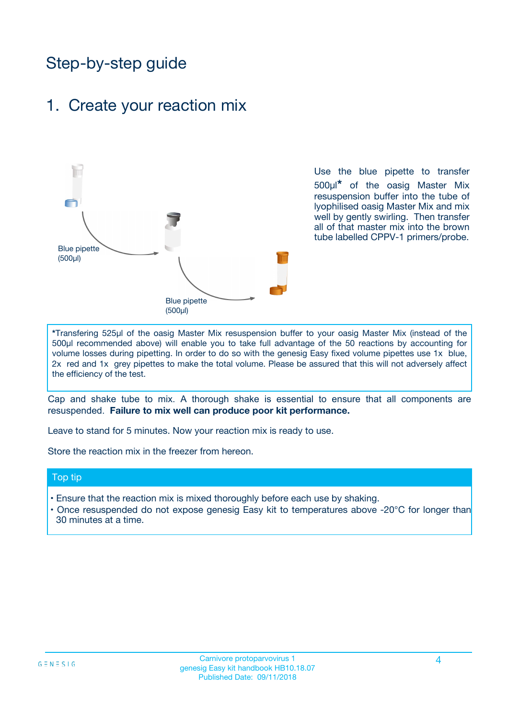## Step-by-step guide

### 1. Create your reaction mix



Use the blue pipette to transfer 500µl**\*** of the oasig Master Mix resuspension buffer into the tube of lyophilised oasig Master Mix and mix well by gently swirling. Then transfer all of that master mix into the brown tube labelled CPPV-1 primers/probe.

**\***Transfering 525µl of the oasig Master Mix resuspension buffer to your oasig Master Mix (instead of the 500µl recommended above) will enable you to take full advantage of the 50 reactions by accounting for volume losses during pipetting. In order to do so with the genesig Easy fixed volume pipettes use 1x blue, 2x red and 1x grey pipettes to make the total volume. Please be assured that this will not adversely affect the efficiency of the test.

Cap and shake tube to mix. A thorough shake is essential to ensure that all components are resuspended. **Failure to mix well can produce poor kit performance.**

Leave to stand for 5 minutes. Now your reaction mix is ready to use.

Store the reaction mix in the freezer from hereon.

#### Top tip

- Ensure that the reaction mix is mixed thoroughly before each use by shaking.
- **•** Once resuspended do not expose genesig Easy kit to temperatures above -20°C for longer than 30 minutes at a time.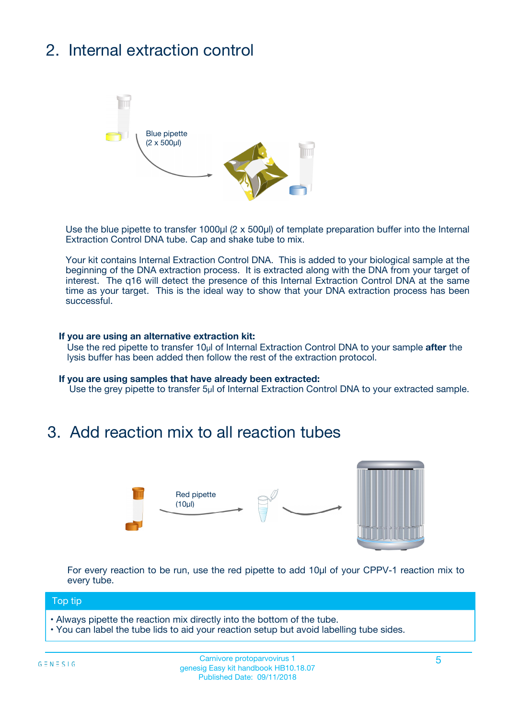# 2. Internal extraction control



Use the blue pipette to transfer 1000µl (2 x 500µl) of template preparation buffer into the Internal Extraction Control DNA tube. Cap and shake tube to mix.

Your kit contains Internal Extraction Control DNA. This is added to your biological sample at the beginning of the DNA extraction process. It is extracted along with the DNA from your target of interest. The q16 will detect the presence of this Internal Extraction Control DNA at the same time as your target. This is the ideal way to show that your DNA extraction process has been **successful.** 

#### **If you are using an alternative extraction kit:**

Use the red pipette to transfer 10µl of Internal Extraction Control DNA to your sample **after** the lysis buffer has been added then follow the rest of the extraction protocol.

#### **If you are using samples that have already been extracted:**

Use the grey pipette to transfer 5µl of Internal Extraction Control DNA to your extracted sample.

## 3. Add reaction mix to all reaction tubes



For every reaction to be run, use the red pipette to add 10µl of your CPPV-1 reaction mix to every tube.

#### Top tip

- Always pipette the reaction mix directly into the bottom of the tube.
- You can label the tube lids to aid your reaction setup but avoid labelling tube sides.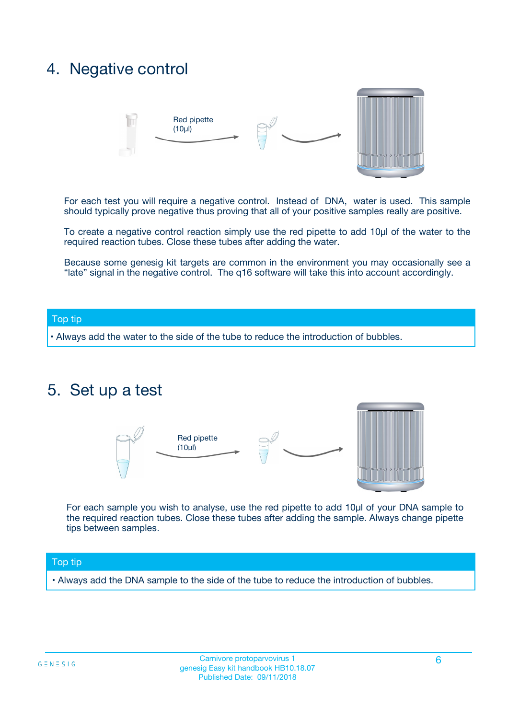## 4. Negative control



For each test you will require a negative control. Instead of DNA, water is used. This sample should typically prove negative thus proving that all of your positive samples really are positive.

To create a negative control reaction simply use the red pipette to add 10µl of the water to the required reaction tubes. Close these tubes after adding the water.

Because some genesig kit targets are common in the environment you may occasionally see a "late" signal in the negative control. The q16 software will take this into account accordingly.

#### Top tip

**•** Always add the water to the side of the tube to reduce the introduction of bubbles.

### 5. Set up a test



For each sample you wish to analyse, use the red pipette to add 10µl of your DNA sample to the required reaction tubes. Close these tubes after adding the sample. Always change pipette tips between samples.

#### Top tip

**•** Always add the DNA sample to the side of the tube to reduce the introduction of bubbles.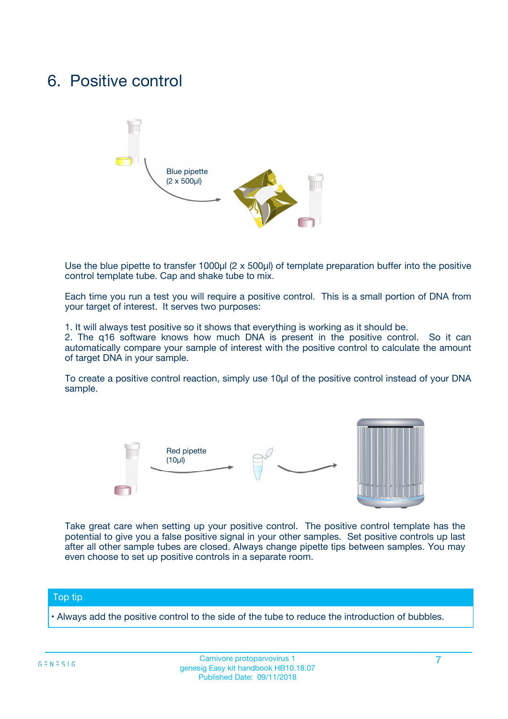## 6. Positive control



Use the blue pipette to transfer 1000µl (2 x 500µl) of template preparation buffer into the positive control template tube. Cap and shake tube to mix.

Each time you run a test you will require a positive control. This is a small portion of DNA from your target of interest. It serves two purposes:

1. It will always test positive so it shows that everything is working as it should be.

2. The q16 software knows how much DNA is present in the positive control. So it can automatically compare your sample of interest with the positive control to calculate the amount of target DNA in your sample.

To create a positive control reaction, simply use 10µl of the positive control instead of your DNA sample.



Take great care when setting up your positive control. The positive control template has the potential to give you a false positive signal in your other samples. Set positive controls up last after all other sample tubes are closed. Always change pipette tips between samples. You may even choose to set up positive controls in a separate room.

#### Top tip

**•** Always add the positive control to the side of the tube to reduce the introduction of bubbles.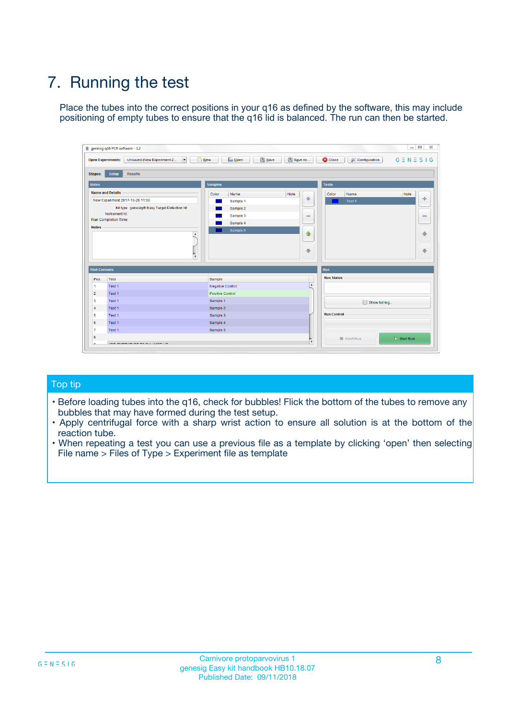# 7. Running the test

Place the tubes into the correct positions in your q16 as defined by the software, this may include positioning of empty tubes to ensure that the q16 lid is balanced. The run can then be started.

|                      | genesig q16 PCR software - 1.2                                               |                                |                              |                                          | $\begin{array}{c c c c} \hline \multicolumn{3}{c }{\textbf{0}} & \multicolumn{3}{c }{\textbf{0}} \end{array}$<br>$\Sigma\!3$ |
|----------------------|------------------------------------------------------------------------------|--------------------------------|------------------------------|------------------------------------------|------------------------------------------------------------------------------------------------------------------------------|
|                      | $\vert \cdot \vert$<br><b>Open Experiments:</b><br>Unsaved (New Experiment 2 | Open<br>Save<br>$\sqrt{9}$ New | Save As                      | <b>C</b> Close<br><b>X</b> Configuration | $G \equiv N \equiv S \mid G$                                                                                                 |
| <b>Stages:</b>       | Setup<br><b>Results</b>                                                      |                                |                              |                                          |                                                                                                                              |
| <b>Notes</b>         |                                                                              | <b>Samples</b>                 |                              | <b>Tests</b>                             |                                                                                                                              |
|                      | <b>Name and Details</b>                                                      | Color<br>Name                  | Note                         | Color<br>Name                            | Note                                                                                                                         |
|                      | New Experiment 2017-10-26 11:06                                              | Sample 1                       | ÷                            | Test 1                                   | ÷                                                                                                                            |
|                      | Kit type: genesig® Easy Target Detection kit                                 | Sample 2                       |                              |                                          |                                                                                                                              |
|                      | Instrument Id.:                                                              | Sample 3                       | $\qquad \qquad \blacksquare$ |                                          | $\qquad \qquad \blacksquare$                                                                                                 |
|                      | <b>Run Completion Time:</b>                                                  | Sample 4                       |                              |                                          |                                                                                                                              |
| <b>Notes</b>         | <b>A</b><br>v                                                                | Sample 5                       | $\triangle$<br>$\oplus$      |                                          | 4<br>₩                                                                                                                       |
| <b>Well Contents</b> |                                                                              |                                |                              | Run                                      |                                                                                                                              |
| Pos.                 | Test                                                                         | Sample                         |                              | <b>Run Status</b>                        |                                                                                                                              |
| $\overline{1}$       | Test 1                                                                       | <b>Negative Control</b>        | $\blacktriangle$             |                                          |                                                                                                                              |
| $\overline{2}$       | Test 1                                                                       | <b>Positive Control</b>        |                              |                                          |                                                                                                                              |
| 3                    | Test 1                                                                       | Sample 1                       |                              | Show full log                            |                                                                                                                              |
| $\overline{4}$       | Test 1                                                                       | Sample 2                       |                              |                                          |                                                                                                                              |
| 5                    | Test 1                                                                       | Sample 3                       |                              | <b>Run Control</b>                       |                                                                                                                              |
| 6                    | Test 1                                                                       | Sample 4                       |                              |                                          |                                                                                                                              |
| $\overline{7}$       | Test 1                                                                       | Sample 5                       |                              |                                          |                                                                                                                              |
| -8                   |                                                                              |                                |                              | Abort Run                                | $\triangleright$ Start Run                                                                                                   |
|                      | <b>JOB FURTY TURE TO BULLMAR LIB</b>                                         |                                | $\overline{\mathbf{v}}$      |                                          |                                                                                                                              |

#### Top tip

- Before loading tubes into the q16, check for bubbles! Flick the bottom of the tubes to remove any bubbles that may have formed during the test setup.
- Apply centrifugal force with a sharp wrist action to ensure all solution is at the bottom of the reaction tube.
- When repeating a test you can use a previous file as a template by clicking 'open' then selecting File name > Files of Type > Experiment file as template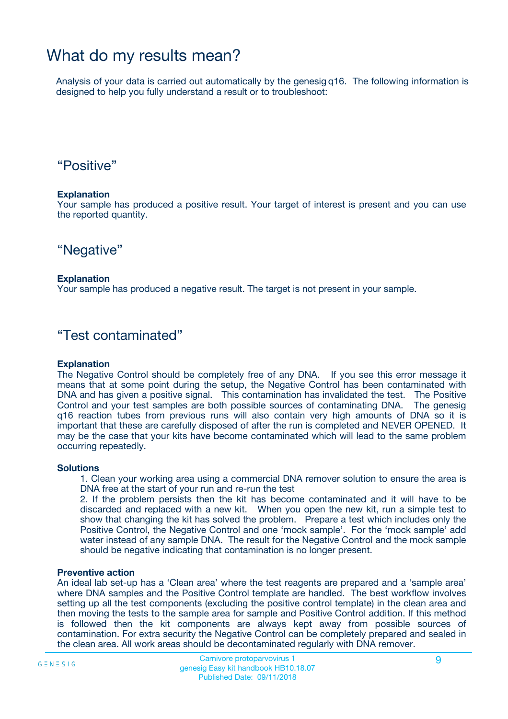## What do my results mean?

Analysis of your data is carried out automatically by the genesig q16. The following information is designed to help you fully understand a result or to troubleshoot:

### "Positive"

#### **Explanation**

Your sample has produced a positive result. Your target of interest is present and you can use the reported quantity.

"Negative"

#### **Explanation**

Your sample has produced a negative result. The target is not present in your sample.

### "Test contaminated"

#### **Explanation**

The Negative Control should be completely free of any DNA. If you see this error message it means that at some point during the setup, the Negative Control has been contaminated with DNA and has given a positive signal. This contamination has invalidated the test. The Positive Control and your test samples are both possible sources of contaminating DNA. The genesig q16 reaction tubes from previous runs will also contain very high amounts of DNA so it is important that these are carefully disposed of after the run is completed and NEVER OPENED. It may be the case that your kits have become contaminated which will lead to the same problem occurring repeatedly.

#### **Solutions**

1. Clean your working area using a commercial DNA remover solution to ensure the area is DNA free at the start of your run and re-run the test

2. If the problem persists then the kit has become contaminated and it will have to be discarded and replaced with a new kit. When you open the new kit, run a simple test to show that changing the kit has solved the problem. Prepare a test which includes only the Positive Control, the Negative Control and one 'mock sample'. For the 'mock sample' add water instead of any sample DNA. The result for the Negative Control and the mock sample should be negative indicating that contamination is no longer present.

#### **Preventive action**

An ideal lab set-up has a 'Clean area' where the test reagents are prepared and a 'sample area' where DNA samples and the Positive Control template are handled. The best workflow involves setting up all the test components (excluding the positive control template) in the clean area and then moving the tests to the sample area for sample and Positive Control addition. If this method is followed then the kit components are always kept away from possible sources of contamination. For extra security the Negative Control can be completely prepared and sealed in the clean area. All work areas should be decontaminated regularly with DNA remover.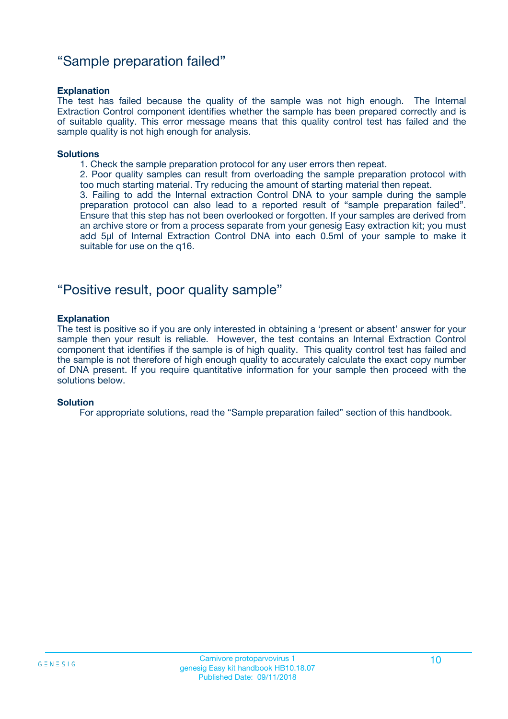### "Sample preparation failed"

#### **Explanation**

The test has failed because the quality of the sample was not high enough. The Internal Extraction Control component identifies whether the sample has been prepared correctly and is of suitable quality. This error message means that this quality control test has failed and the sample quality is not high enough for analysis.

#### **Solutions**

1. Check the sample preparation protocol for any user errors then repeat.

2. Poor quality samples can result from overloading the sample preparation protocol with too much starting material. Try reducing the amount of starting material then repeat.

3. Failing to add the Internal extraction Control DNA to your sample during the sample preparation protocol can also lead to a reported result of "sample preparation failed". Ensure that this step has not been overlooked or forgotten. If your samples are derived from an archive store or from a process separate from your genesig Easy extraction kit; you must add 5µl of Internal Extraction Control DNA into each 0.5ml of your sample to make it suitable for use on the q16.

### "Positive result, poor quality sample"

#### **Explanation**

The test is positive so if you are only interested in obtaining a 'present or absent' answer for your sample then your result is reliable. However, the test contains an Internal Extraction Control component that identifies if the sample is of high quality. This quality control test has failed and the sample is not therefore of high enough quality to accurately calculate the exact copy number of DNA present. If you require quantitative information for your sample then proceed with the solutions below.

#### **Solution**

For appropriate solutions, read the "Sample preparation failed" section of this handbook.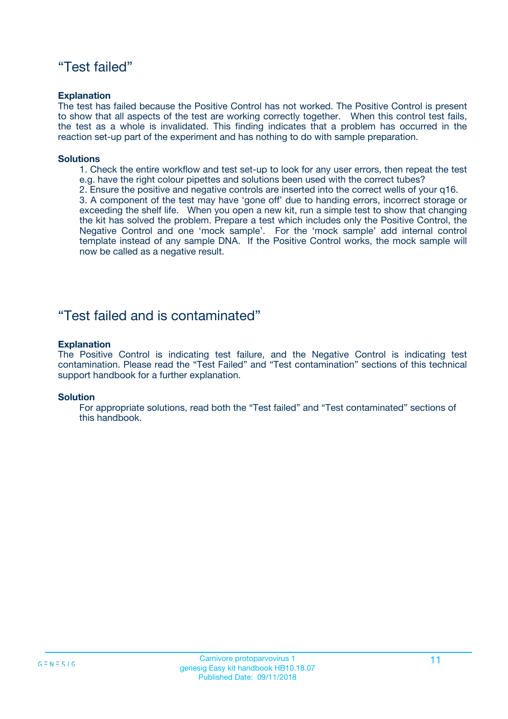### "Test failed"

#### **Explanation**

The test has failed because the Positive Control has not worked. The Positive Control is present to show that all aspects of the test are working correctly together. When this control test fails, the test as a whole is invalidated. This finding indicates that a problem has occurred in the reaction set-up part of the experiment and has nothing to do with sample preparation.

#### **Solutions**

- 1. Check the entire workflow and test set-up to look for any user errors, then repeat the test e.g. have the right colour pipettes and solutions been used with the correct tubes?
- 2. Ensure the positive and negative controls are inserted into the correct wells of your q16.

3. A component of the test may have 'gone off' due to handing errors, incorrect storage or exceeding the shelf life. When you open a new kit, run a simple test to show that changing the kit has solved the problem. Prepare a test which includes only the Positive Control, the Negative Control and one 'mock sample'. For the 'mock sample' add internal control template instead of any sample DNA. If the Positive Control works, the mock sample will now be called as a negative result.

### "Test failed and is contaminated"

#### **Explanation**

The Positive Control is indicating test failure, and the Negative Control is indicating test contamination. Please read the "Test Failed" and "Test contamination" sections of this technical support handbook for a further explanation.

#### **Solution**

For appropriate solutions, read both the "Test failed" and "Test contaminated" sections of this handbook.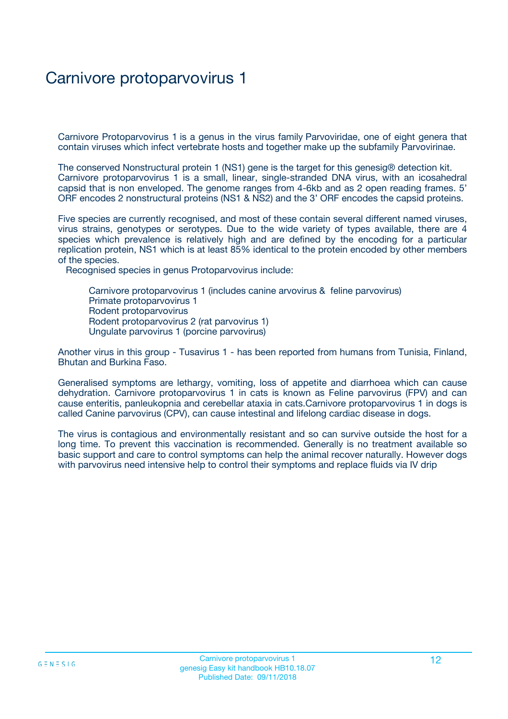## Carnivore protoparvovirus 1

Carnivore Protoparvovirus 1 is a genus in the virus family Parvoviridae, one of eight genera that contain viruses which infect vertebrate hosts and together make up the subfamily Parvovirinae.

The conserved Nonstructural protein 1 (NS1) gene is the target for this genesig® detection kit. Carnivore protoparvovirus 1 is a small, linear, single-stranded DNA virus, with an icosahedral capsid that is non enveloped. The genome ranges from 4-6kb and as 2 open reading frames. 5' ORF encodes 2 nonstructural proteins (NS1 & NS2) and the 3' ORF encodes the capsid proteins.

Five species are currently recognised, and most of these contain several different named viruses, virus strains, genotypes or serotypes. Due to the wide variety of types available, there are 4 species which prevalence is relatively high and are defined by the encoding for a particular replication protein, NS1 which is at least 85% identical to the protein encoded by other members of the species.

Recognised species in genus Protoparvovirus include:

Carnivore protoparvovirus 1 (includes canine arvovirus & feline parvovirus) Primate protoparvovirus 1 Rodent protoparvovirus Rodent protoparvovirus 2 (rat parvovirus 1) Ungulate parvovirus 1 (porcine parvovirus)

Another virus in this group - Tusavirus 1 - has been reported from humans from Tunisia, Finland, Bhutan and Burkina Faso.

Generalised symptoms are lethargy, vomiting, loss of appetite and diarrhoea which can cause dehydration. Carnivore protoparvovirus 1 in cats is known as Feline parvovirus (FPV) and can cause enteritis, panleukopnia and cerebellar ataxia in cats.Carnivore protoparvovirus 1 in dogs is called Canine parvovirus (CPV), can cause intestinal and lifelong cardiac disease in dogs.

The virus is contagious and environmentally resistant and so can survive outside the host for a long time. To prevent this vaccination is recommended. Generally is no treatment available so basic support and care to control symptoms can help the animal recover naturally. However dogs with parvovirus need intensive help to control their symptoms and replace fluids via IV drip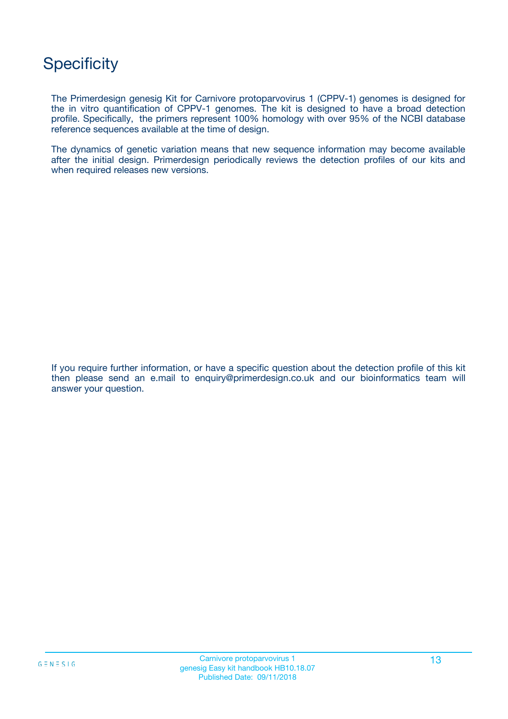## **Specificity**

The Primerdesign genesig Kit for Carnivore protoparvovirus 1 (CPPV-1) genomes is designed for the in vitro quantification of CPPV-1 genomes. The kit is designed to have a broad detection profile. Specifically, the primers represent 100% homology with over 95% of the NCBI database reference sequences available at the time of design.

The dynamics of genetic variation means that new sequence information may become available after the initial design. Primerdesign periodically reviews the detection profiles of our kits and when required releases new versions.

If you require further information, or have a specific question about the detection profile of this kit then please send an e.mail to enquiry@primerdesign.co.uk and our bioinformatics team will answer your question.